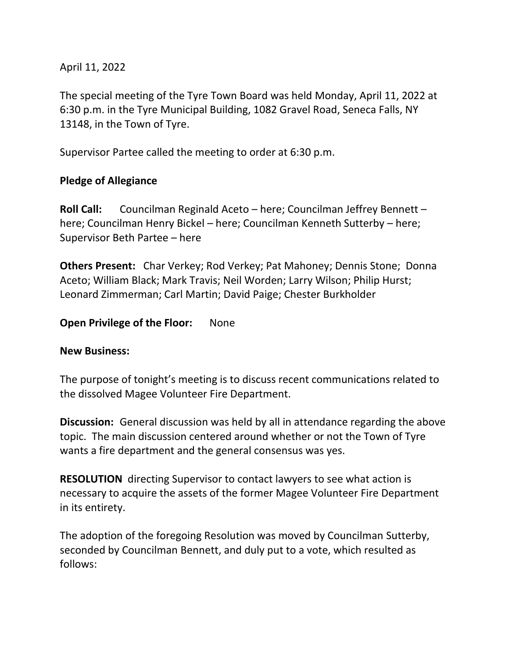## April 11, 2022

The special meeting of the Tyre Town Board was held Monday, April 11, 2022 at 6:30 p.m. in the Tyre Municipal Building, 1082 Gravel Road, Seneca Falls, NY 13148, in the Town of Tyre.

Supervisor Partee called the meeting to order at 6:30 p.m.

### **Pledge of Allegiance**

**Roll Call:** Councilman Reginald Aceto – here; Councilman Jeffrey Bennett – here; Councilman Henry Bickel – here; Councilman Kenneth Sutterby – here; Supervisor Beth Partee – here

**Others Present:** Char Verkey; Rod Verkey; Pat Mahoney; Dennis Stone; Donna Aceto; William Black; Mark Travis; Neil Worden; Larry Wilson; Philip Hurst; Leonard Zimmerman; Carl Martin; David Paige; Chester Burkholder

#### **Open Privilege of the Floor:** None

#### **New Business:**

The purpose of tonight's meeting is to discuss recent communications related to the dissolved Magee Volunteer Fire Department.

**Discussion:** General discussion was held by all in attendance regarding the above topic. The main discussion centered around whether or not the Town of Tyre wants a fire department and the general consensus was yes.

**RESOLUTION** directing Supervisor to contact lawyers to see what action is necessary to acquire the assets of the former Magee Volunteer Fire Department in its entirety.

The adoption of the foregoing Resolution was moved by Councilman Sutterby, seconded by Councilman Bennett, and duly put to a vote, which resulted as follows: